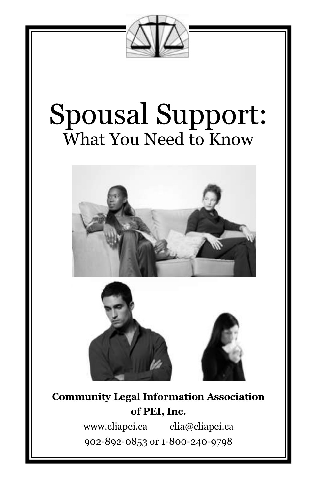

# Spousal Support: What You Need to Know





# **Community Legal Information Association of PEI, Inc.**

www.cliapei.ca clia@cliapei.ca 902-892-0853 or 1-800-240-9798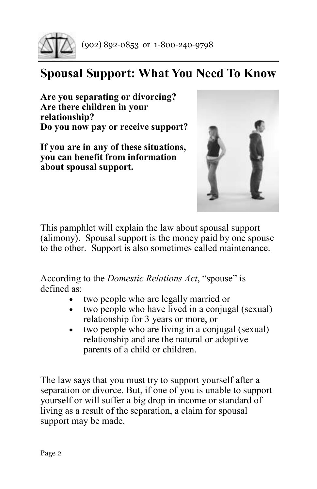

# **Spousal Support: What You Need To Know**

**Are you separating or divorcing? Are there children in your relationship? Do you now pay or receive support?**

**If you are in any of these situations, you can benefit from information about spousal support.**



This pamphlet will explain the law about spousal support (alimony). Spousal support is the money paid by one spouse to the other. Support is also sometimes called maintenance.

According to the *Domestic Relations Act*, "spouse" is defined as:

- two people who are legally married or
- two people who have lived in a conjugal (sexual) relationship for 3 years or more, or
- two people who are living in a conjugal (sexual) relationship and are the natural or adoptive parents of a child or children.

The law says that you must try to support yourself after a separation or divorce. But, if one of you is unable to support yourself or will suffer a big drop in income or standard of living as a result of the separation, a claim for spousal support may be made.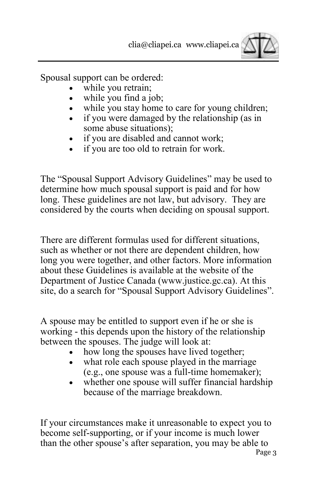

Spousal support can be ordered:

- while you retrain;
- while you find a job;
- while you stay home to care for young children;
- if you were damaged by the relationship (as in some abuse situations);
- if you are disabled and cannot work;
- if you are too old to retrain for work.

The "Spousal Support Advisory Guidelines" may be used to determine how much spousal support is paid and for how long. These guidelines are not law, but advisory. They are considered by the courts when deciding on spousal support.

There are different formulas used for different situations, such as whether or not there are dependent children, how long you were together, and other factors. More information about these Guidelines is available at the website of the Department of Justice Canada (www.justice.gc.ca). At this site, do a search for "Spousal Support Advisory Guidelines".

A spouse may be entitled to support even if he or she is working - this depends upon the history of the relationship between the spouses. The judge will look at:

- how long the spouses have lived together;
- what role each spouse played in the marriage (e.g., one spouse was a full-time homemaker);
- whether one spouse will suffer financial hardship because of the marriage breakdown.

If your circumstances make it unreasonable to expect you to become self-supporting, or if your income is much lower than the other spouse's after separation, you may be able to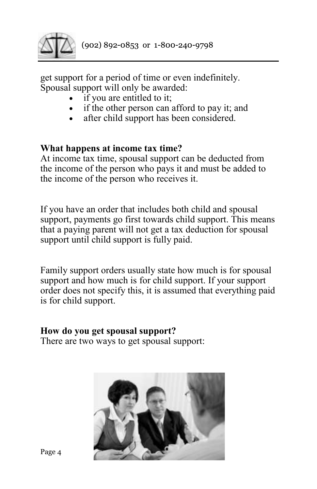

get support for a period of time or even indefinitely. Spousal support will only be awarded:

- if you are entitled to it;
- if the other person can afford to pay it; and
- after child support has been considered.

### **What happens at income tax time?**

At income tax time, spousal support can be deducted from the income of the person who pays it and must be added to the income of the person who receives it.

If you have an order that includes both child and spousal support, payments go first towards child support. This means that a paying parent will not get a tax deduction for spousal support until child support is fully paid.

Family support orders usually state how much is for spousal support and how much is for child support. If your support order does not specify this, it is assumed that everything paid is for child support.

#### **How do you get spousal support?**

There are two ways to get spousal support:

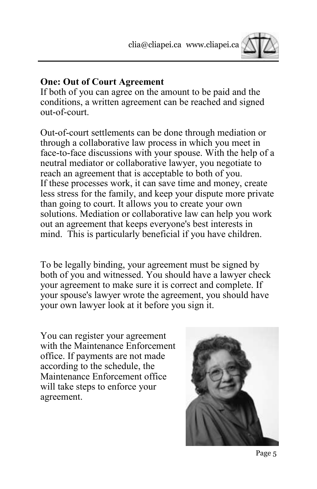

#### **One: Out of Court Agreement**

If both of you can agree on the amount to be paid and the conditions, a written agreement can be reached and signed out-of-court.

Out-of-court settlements can be done through mediation or through a collaborative law process in which you meet in face-to-face discussions with your spouse. With the help of a neutral mediator or collaborative lawyer, you negotiate to reach an agreement that is acceptable to both of you. If these processes work, it can save time and money, create less stress for the family, and keep your dispute more private than going to court. It allows you to create your own solutions. Mediation or collaborative law can help you work out an agreement that keeps everyone's best interests in mind. This is particularly beneficial if you have children.

To be legally binding, your agreement must be signed by both of you and witnessed. You should have a lawyer check your agreement to make sure it is correct and complete. If your spouse's lawyer wrote the agreement, you should have your own lawyer look at it before you sign it.

You can register your agreement with the Maintenance Enforcement office. If payments are not made according to the schedule, the Maintenance Enforcement office will take steps to enforce your agreement.

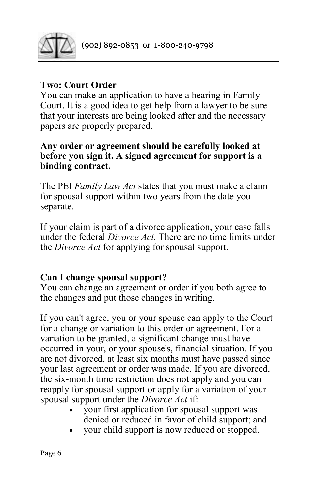

## **Two: Court Order**

You can make an application to have a hearing in Family Court. It is a good idea to get help from a lawyer to be sure that your interests are being looked after and the necessary papers are properly prepared.

#### **Any order or agreement should be carefully looked at before you sign it. A signed agreement for support is a binding contract.**

The PEI *Family Law Act* states that you must make a claim for spousal support within two years from the date you separate.

If your claim is part of a divorce application, your case falls under the federal *Divorce Act.* There are no time limits under the *Divorce Act* for applying for spousal support.

## **Can I change spousal support?**

You can change an agreement or order if you both agree to the changes and put those changes in writing.

If you can't agree, you or your spouse can apply to the Court for a change or variation to this order or agreement. For a variation to be granted, a significant change must have occurred in your, or your spouse's, financial situation. If you are not divorced, at least six months must have passed since your last agreement or order was made. If you are divorced, the six-month time restriction does not apply and you can reapply for spousal support or apply for a variation of your spousal support under the *Divorce Act* if:

- your first application for spousal support was denied or reduced in favor of child support; and
- your child support is now reduced or stopped.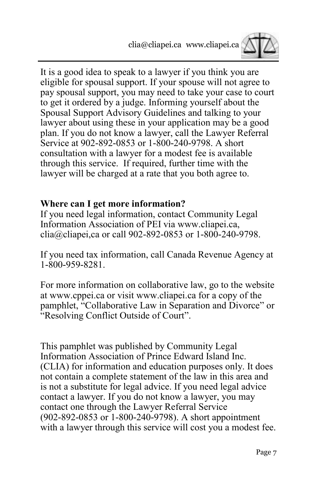

It is a good idea to speak to a lawyer if you think you are eligible for spousal support. If your spouse will not agree to pay spousal support, you may need to take your case to court to get it ordered by a judge. Informing yourself about the Spousal Support Advisory Guidelines and talking to your lawyer about using these in your application may be a good plan. If you do not know a lawyer, call the Lawyer Referral Service at 902-892-0853 or 1-800-240-9798. A short consultation with a lawyer for a modest fee is available through this service. If required, further time with the lawyer will be charged at a rate that you both agree to.

#### **Where can I get more information?**

If you need legal information, contact Community Legal Information Association of PEI via www.cliapei.ca, clia@cliapei,ca or call 902-892-0853 or 1-800-240-9798.

If you need tax information, call Canada Revenue Agency at 1-800-959-8281.

For more information on collaborative law, go to the website at www.cppei.ca or visit www.cliapei.ca for a copy of the pamphlet, "Collaborative Law in Separation and Divorce" or "Resolving Conflict Outside of Court".

This pamphlet was published by Community Legal Information Association of Prince Edward Island Inc. (CLIA) for information and education purposes only. It does not contain a complete statement of the law in this area and is not a substitute for legal advice. If you need legal advice contact a lawyer. If you do not know a lawyer, you may contact one through the Lawyer Referral Service (902-892-0853 or 1-800-240-9798). A short appointment with a lawyer through this service will cost you a modest fee.